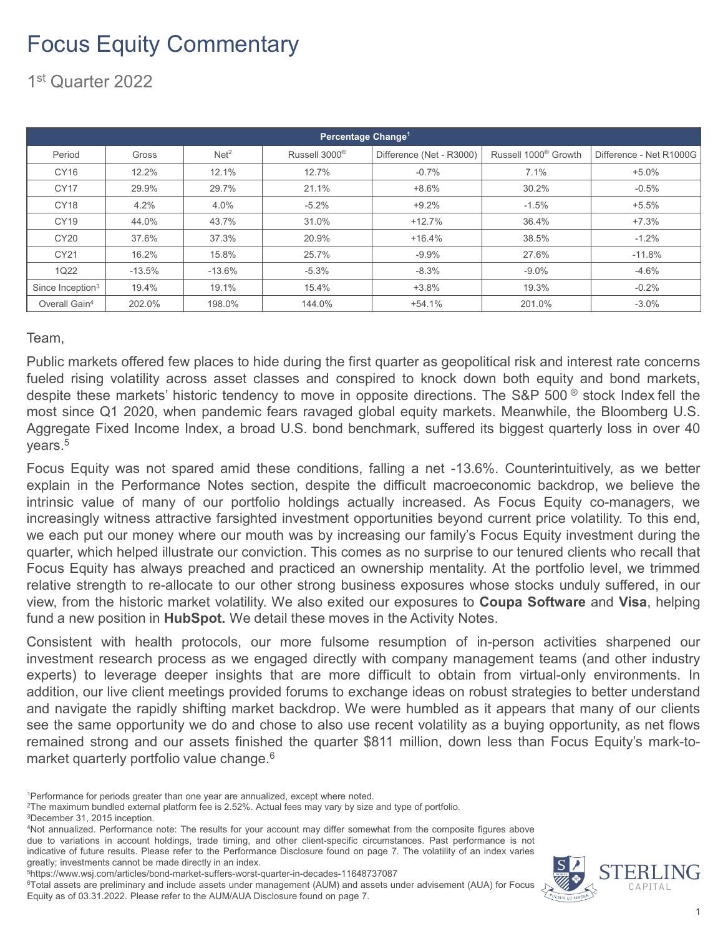1st Quarter 2022

|                              |          |                  | Percentage Change <sup>1'</sup> |                          |                                  |                         |
|------------------------------|----------|------------------|---------------------------------|--------------------------|----------------------------------|-------------------------|
| Period                       | Gross    | Net <sup>2</sup> | Russell 3000 <sup>®</sup>       | Difference (Net - R3000) | Russell 1000 <sup>®</sup> Growth | Difference - Net R1000G |
| CY16                         | 12.2%    | 12.1%            | 12.7%                           | $-0.7%$                  | 7.1%                             | $+5.0%$                 |
| <b>CY17</b>                  | 29.9%    | 29.7%            | 21.1%                           | $+8.6%$                  | 30.2%                            | $-0.5%$                 |
| <b>CY18</b>                  | 4.2%     | 4.0%             | $-5.2%$                         | $+9.2%$                  | $-1.5%$                          | $+5.5%$                 |
| CY19                         | 44.0%    | 43.7%            | 31.0%                           | $+12.7%$                 | 36.4%                            | $+7.3%$                 |
| CY20                         | 37.6%    | 37.3%            | 20.9%                           | $+16.4%$                 | 38.5%                            | $-1.2%$                 |
| CY21                         | 16.2%    | 15.8%            | 25.7%                           | $-9.9%$                  | 27.6%                            | $-11.8%$                |
| <b>1Q22</b>                  | $-13.5%$ | $-13.6%$         | $-5.3%$                         | $-8.3%$                  | $-9.0\%$                         | $-4.6%$                 |
| Since Inception <sup>3</sup> | 19.4%    | 19.1%            | 15.4%                           | $+3.8%$                  | 19.3%                            | $-0.2%$                 |
| Overall Gain <sup>4</sup>    | 202.0%   | 198.0%           | 144.0%                          | $+54.1%$                 | 201.0%                           | $-3.0%$                 |

Team,

Public markets offered few places to hide during the first quarter as geopolitical risk and interest rate concerns fueled rising volatility across asset classes and conspired to knock down both equity and bond markets, despite these markets' historic tendency to move in opposite directions. The S&P 500<sup>®</sup> stock Index fell the most since Q1 2020, when pandemic fears ravaged global equity markets. Meanwhile, the Bloomberg U.S. Aggregate Fixed Income Index, a broad U.S. bond benchmark, suffered its biggest quarterly loss in over 40 years. 5

Focus Equity was not spared amid these conditions, falling a net -13.6%. Counterintuitively, as we better explain in the Performance Notes section, despite the difficult macroeconomic backdrop, we believe the intrinsic value of many of our portfolio holdings actually increased. As Focus Equity co-managers, we increasingly witness attractive farsighted investment opportunities beyond current price volatility. To this end, we each put our money where our mouth was by increasing our family's Focus Equity investment during the quarter, which helped illustrate our conviction. This comes as no surprise to our tenured clients who recall that Focus Equity has always preached and practiced an ownership mentality. At the portfolio level, we trimmed relative strength to re-allocate to our other strong business exposures whose stocks unduly suffered, in our view, from the historic market volatility. We also exited our exposures to **Coupa Software** and **Visa**, helping fund a new position in **HubSpot.** We detail these moves in the Activity Notes.

Consistent with health protocols, our more fulsome resumption of in-person activities sharpened our investment research process as we engaged directly with company management teams (and other industry experts) to leverage deeper insights that are more difficult to obtain from virtual-only environments. In addition, our live client meetings provided forums to exchange ideas on robust strategies to better understand and navigate the rapidly shifting market backdrop. We were humbled as it appears that many of our clients see the same opportunity we do and chose to also use recent volatility as a buying opportunity, as net flows remained strong and our assets finished the quarter \$811 million, down less than Focus Equity's mark-tomarket quarterly portfolio value change. 6

6Total assets are preliminary and include assets under management (AUM) and assets under advisement (AUA) for Focus Equity as of 03.31.2022. Please refer to the AUM/AUA Disclosure found on page 7.



<sup>1</sup>Performance for periods greater than one year are annualized, except where noted.

<sup>2</sup>The maximum bundled external platform fee is 2.52%. Actual fees may vary by size and type of portfolio.

<sup>3</sup>December 31, 2015 inception.

<sup>4</sup>Not annualized. Performance note: The results for your account may differ somewhat from the composite figures above due to variations in account holdings, trade timing, and other client-specific circumstances. Past performance is not indicative of future results. Please refer to the Performance Disclosure found on page 7. The volatility of an index varies greatly; investments cannot be made directly in an index.

<sup>5</sup>https://www.wsj.com/articles/bond-market-suffers-worst-quarter-in-decades-11648737087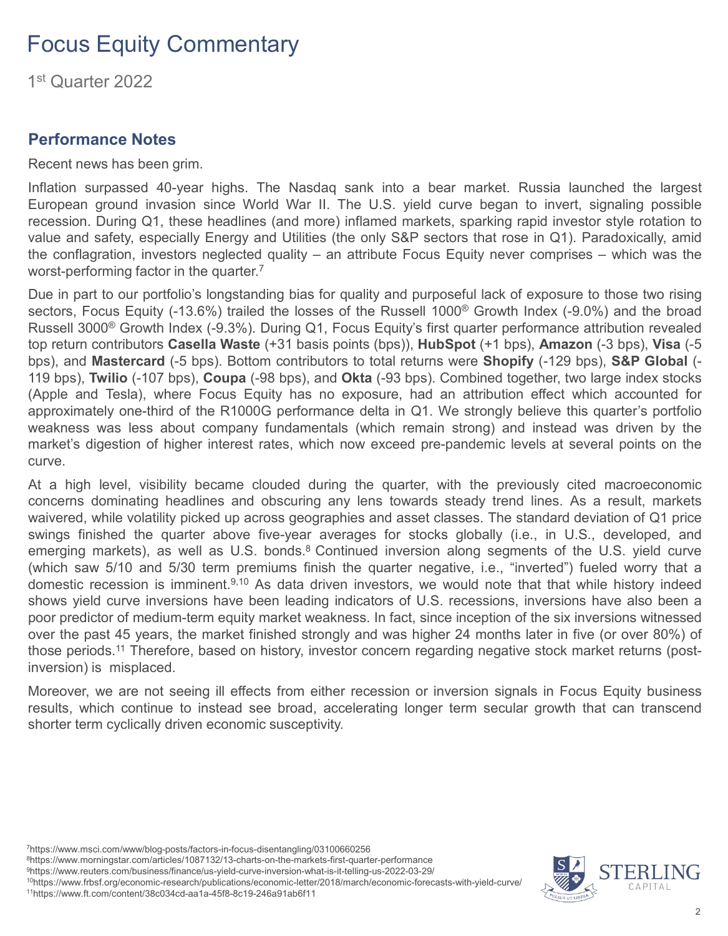1st Quarter 2022

#### **Performance Notes**

Recent news has been grim.

Inflation surpassed 40-year highs. The Nasdaq sank into a bear market. Russia launched the largest European ground invasion since World War II. The U.S. yield curve began to invert, signaling possible recession. During Q1, these headlines (and more) inflamed markets, sparking rapid investor style rotation to value and safety, especially Energy and Utilities (the only S&P sectors that rose in Q1). Paradoxically, amid the conflagration, investors neglected quality – an attribute Focus Equity never comprises – which was the worst-performing factor in the quarter. 7

Due in part to our portfolio's longstanding bias for quality and purposeful lack of exposure to those two rising sectors, Focus Equity (-13.6%) trailed the losses of the Russell 1000<sup>®</sup> Growth Index (-9.0%) and the broad Russell 3000® Growth Index (-9.3%). During Q1, Focus Equity's first quarter performance attribution revealed top return contributors **Casella Waste** (+31 basis points (bps)), **HubSpot** (+1 bps), **Amazon** (-3 bps), **Visa** (-5 bps), and **Mastercard** (-5 bps). Bottom contributors to total returns were **Shopify** (-129 bps), **S&P Global** (- 119 bps), **Twilio** (-107 bps), **Coupa** (-98 bps), and **Okta** (-93 bps). Combined together, two large index stocks (Apple and Tesla), where Focus Equity has no exposure, had an attribution effect which accounted for approximately one-third of the R1000G performance delta in Q1. We strongly believe this quarter's portfolio weakness was less about company fundamentals (which remain strong) and instead was driven by the market's digestion of higher interest rates, which now exceed pre-pandemic levels at several points on the curve.

At a high level, visibility became clouded during the quarter, with the previously cited macroeconomic concerns dominating headlines and obscuring any lens towards steady trend lines. As a result, markets waivered, while volatility picked up across geographies and asset classes. The standard deviation of Q1 price swings finished the quarter above five-year averages for stocks globally (i.e., in U.S., developed, and emerging markets), as well as U.S. bonds.<sup>8</sup> Continued inversion along segments of the U.S. yield curve (which saw 5/10 and 5/30 term premiums finish the quarter negative, i.e., "inverted") fueled worry that a domestic recession is imminent.<sup>9,10</sup> As data driven investors, we would note that that while history indeed shows yield curve inversions have been leading indicators of U.S. recessions, inversions have also been a poor predictor of medium-term equity market weakness. In fact, since inception of the six inversions witnessed over the past 45 years, the market finished strongly and was higher 24 months later in five (or over 80%) of those periods. <sup>11</sup> Therefore, based on history, investor concern regarding negative stock market returns (postinversion) is misplaced.

Moreover, we are not seeing ill effects from either recession or inversion signals in Focus Equity business results, which continue to instead see broad, accelerating longer term secular growth that can transcend shorter term cyclically driven economic susceptivity.

7https://www.msci.com/www/blog-posts/factors-in-focus-disentangling/03100660256

8https://www.morningstar.com/articles/1087132/13-charts-on-the-markets-first-quarter-performance

9https://www.reuters.com/business/finance/us-yield-curve-inversion-what-is-it-telling-us-2022-03-29/ 10https://www.frbsf.org/economic-research/publications/economic-letter/2018/march/economic-forecasts-with-yield-curve/

11https://www.ft.com/content/38c034cd-aa1a-45f8-8c19-246a91ab6f11

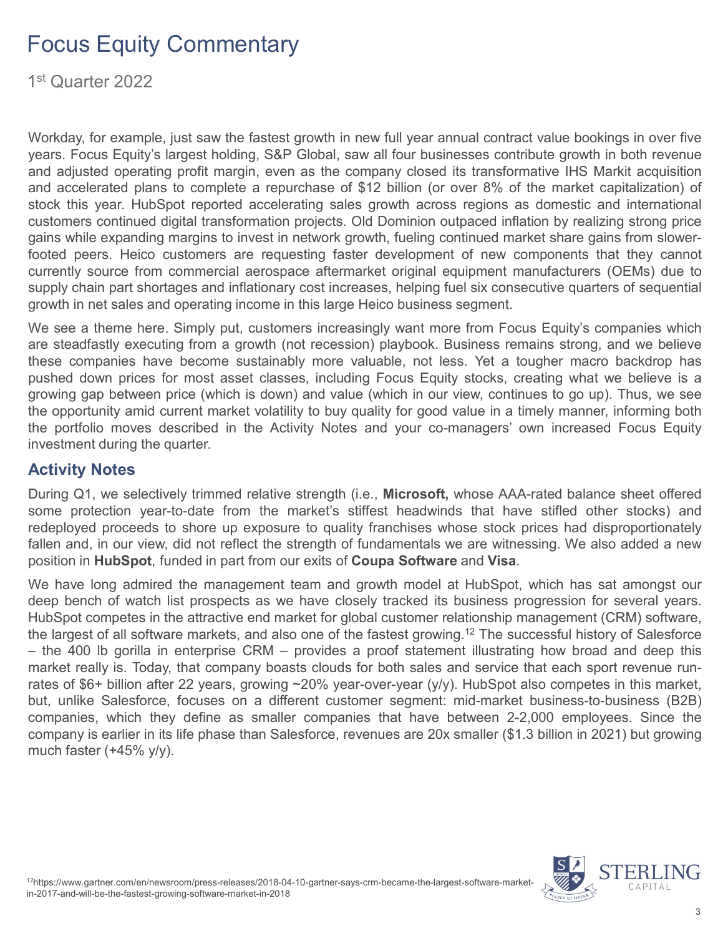1st Quarter 2022

Workday, for example, just saw the fastest growth in new full year annual contract value bookings in over five years. Focus Equity's largest holding, S&P Global, saw all four businesses contribute growth in both revenue and adjusted operating profit margin, even as the company closed its transformative IHS Markit acquisition and accelerated plans to complete a repurchase of \$12 billion (or over 8% of the market capitalization) of stock this year. HubSpot reported accelerating sales growth across regions as domestic and international customers continued digital transformation projects. Old Dominion outpaced inflation by realizing strong price gains while expanding margins to invest in network growth, fueling continued market share gains from slowerfooted peers. Heico customers are requesting faster development of new components that they cannot currently source from commercial aerospace aftermarket original equipment manufacturers (OEMs) due to supply chain part shortages and inflationary cost increases, helping fuel six consecutive quarters of sequential growth in net sales and operating income in this large Heico business segment.

We see a theme here. Simply put, customers increasingly want more from Focus Equity's companies which are steadfastly executing from a growth (not recession) playbook. Business remains strong, and we believe these companies have become sustainably more valuable, not less. Yet a tougher macro backdrop has pushed down prices for most asset classes, including Focus Equity stocks, creating what we believe is a growing gap between price (which is down) and value (which in our view, continues to go up). Thus, we see the opportunity amid current market volatility to buy quality for good value in a timely manner, informing both the portfolio moves described in the Activity Notes and your co-managers' own increased Focus Equity investment during the quarter.

#### **Activity Notes**

During Q1, we selectively trimmed relative strength (i.e., **Microsoft,** whose AAA-rated balance sheet offered some protection year-to-date from the market's stiffest headwinds that have stifled other stocks) and redeployed proceeds to shore up exposure to quality franchises whose stock prices had disproportionately fallen and, in our view, did not reflect the strength of fundamentals we are witnessing. We also added a new position in **HubSpot**, funded in part from our exits of **Coupa Software** and **Visa**.

We have long admired the management team and growth model at HubSpot, which has sat amongst our deep bench of watch list prospects as we have closely tracked its business progression for several years. HubSpot competes in the attractive end market for global customer relationship management (CRM) software, the largest of all software markets, and also one of the fastest growing. <sup>12</sup> The successful history of Salesforce – the 400 lb gorilla in enterprise CRM – provides a proof statement illustrating how broad and deep this market really is. Today, that company boasts clouds for both sales and service that each sport revenue runrates of \$6+ billion after 22 years, growing ~20% year-over-year (y/y). HubSpot also competes in this market, but, unlike Salesforce, focuses on a different customer segment: mid-market business-to-business (B2B) companies, which they define as smaller companies that have between 2-2,000 employees. Since the company is earlier in its life phase than Salesforce, revenues are 20x smaller (\$1.3 billion in 2021) but growing much faster (+45% y/y).

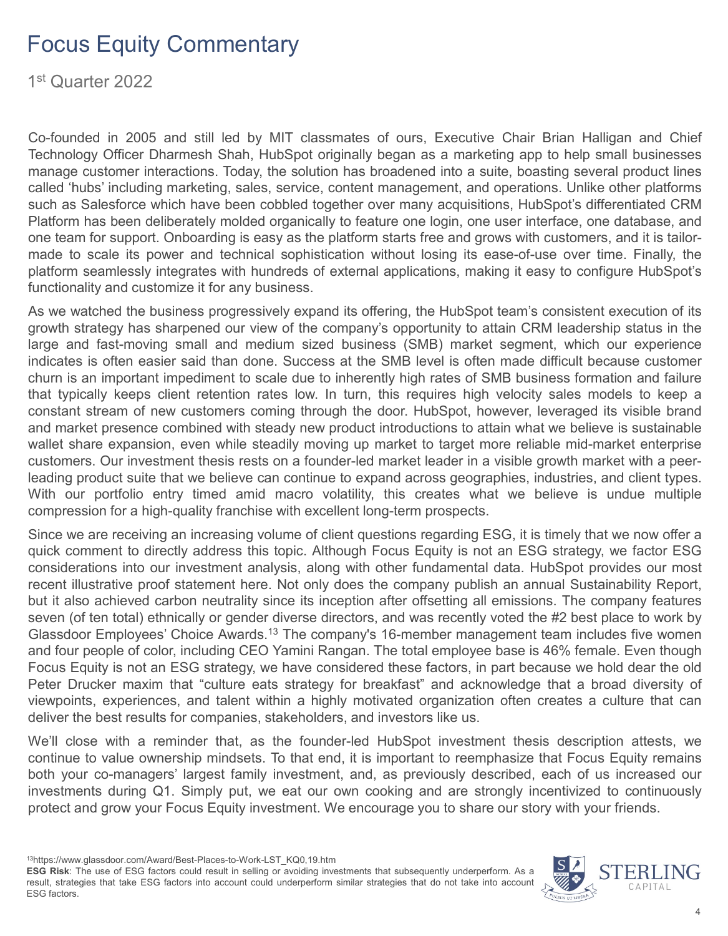1st Quarter 2022

Co-founded in 2005 and still led by MIT classmates of ours, Executive Chair Brian Halligan and Chief Technology Officer Dharmesh Shah, HubSpot originally began as a marketing app to help small businesses manage customer interactions. Today, the solution has broadened into a suite, boasting several product lines called 'hubs' including marketing, sales, service, content management, and operations. Unlike other platforms such as Salesforce which have been cobbled together over many acquisitions, HubSpot's differentiated CRM Platform has been deliberately molded organically to feature one login, one user interface, one database, and one team for support. Onboarding is easy as the platform starts free and grows with customers, and it is tailormade to scale its power and technical sophistication without losing its ease-of-use over time. Finally, the platform seamlessly integrates with hundreds of external applications, making it easy to configure HubSpot's functionality and customize it for any business.

As we watched the business progressively expand its offering, the HubSpot team's consistent execution of its growth strategy has sharpened our view of the company's opportunity to attain CRM leadership status in the large and fast-moving small and medium sized business (SMB) market segment, which our experience indicates is often easier said than done. Success at the SMB level is often made difficult because customer churn is an important impediment to scale due to inherently high rates of SMB business formation and failure that typically keeps client retention rates low. In turn, this requires high velocity sales models to keep a constant stream of new customers coming through the door. HubSpot, however, leveraged its visible brand and market presence combined with steady new product introductions to attain what we believe is sustainable wallet share expansion, even while steadily moving up market to target more reliable mid-market enterprise customers. Our investment thesis rests on a founder-led market leader in a visible growth market with a peerleading product suite that we believe can continue to expand across geographies, industries, and client types. With our portfolio entry timed amid macro volatility, this creates what we believe is undue multiple compression for a high-quality franchise with excellent long-term prospects.

Since we are receiving an increasing volume of client questions regarding ESG, it is timely that we now offer a quick comment to directly address this topic. Although Focus Equity is not an ESG strategy, we factor ESG considerations into our investment analysis, along with other fundamental data. HubSpot provides our most recent illustrative proof statement here. Not only does the company publish an annual Sustainability Report, but it also achieved carbon neutrality since its inception after offsetting all emissions. The company features seven (of ten total) ethnically or gender diverse directors, and was recently voted the #2 best place to work by Glassdoor Employees' Choice Awards.<sup>13</sup> The company's 16-member management team includes five women and four people of color, including CEO Yamini Rangan. The total employee base is 46% female. Even though Focus Equity is not an ESG strategy, we have considered these factors, in part because we hold dear the old Peter Drucker maxim that "culture eats strategy for breakfast" and acknowledge that a broad diversity of viewpoints, experiences, and talent within a highly motivated organization often creates a culture that can deliver the best results for companies, stakeholders, and investors like us.

We'll close with a reminder that, as the founder-led HubSpot investment thesis description attests, we continue to value ownership mindsets. To that end, it is important to reemphasize that Focus Equity remains both your co-managers' largest family investment, and, as previously described, each of us increased our investments during Q1. Simply put, we eat our own cooking and are strongly incentivized to continuously protect and grow your Focus Equity investment. We encourage you to share our story with your friends.

13https://www.glassdoor.com/Award/Best-Places-to-Work-LST\_KQ0,19.htm **ESG Risk**: The use of ESG factors could result in selling or avoiding investments that subsequently underperform. As a result, strategies that take ESG factors into account could underperform similar strategies that do not take into account ESG factors.

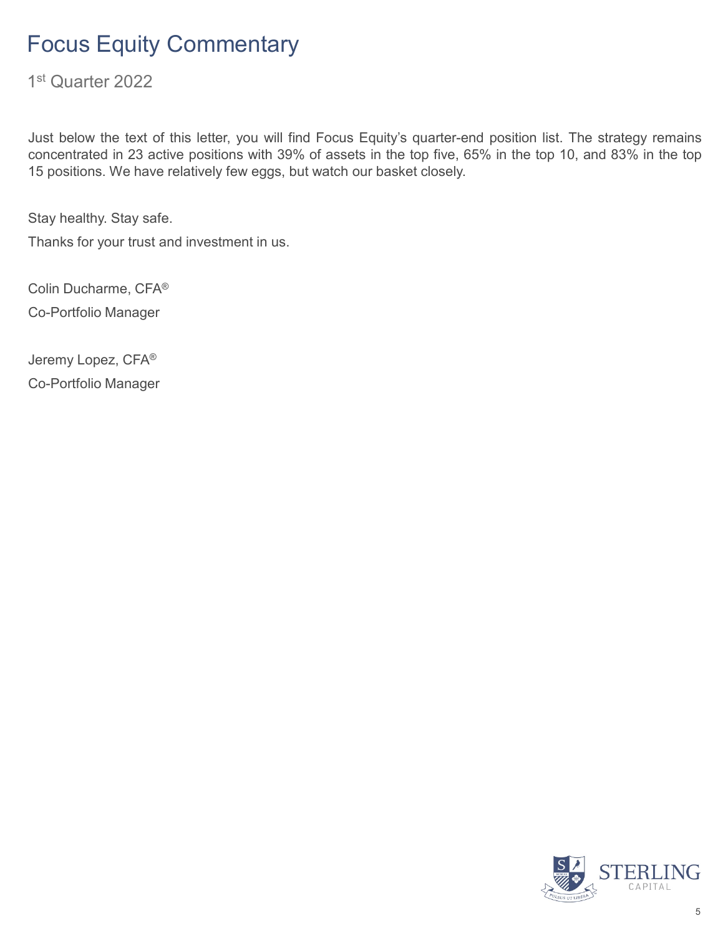1st Quarter 2022

Just below the text of this letter, you will find Focus Equity's quarter-end position list. The strategy remains concentrated in 23 active positions with 39% of assets in the top five, 65% in the top 10, and 83% in the top 15 positions. We have relatively few eggs, but watch our basket closely.

Stay healthy. Stay safe.

Thanks for your trust and investment in us.

Colin Ducharme, CFA® Co-Portfolio Manager

Jeremy Lopez, CFA® Co-Portfolio Manager

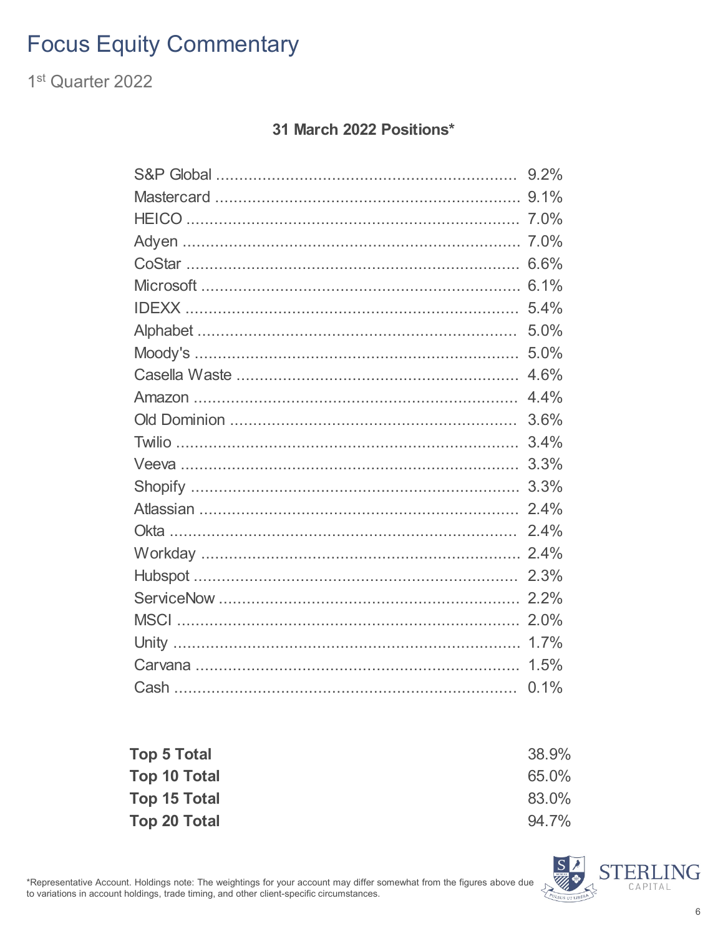1<sup>st</sup> Quarter 2022

#### 31 March 2022 Positions\*

| 9.2% |
|------|
| 9.1% |
|      |
|      |
| 6.6% |
| 6.1% |
| 5.4% |
| 5.0% |
| 5.0% |
| 4.6% |
| 4.4% |
| 3.6% |
| 3.4% |
| 3.3% |
| 3.3% |
| 2.4% |
| 2.4% |
| 2.4% |
| 2.3% |
| 2.2% |
| 2.0% |
| 1.7% |
| 1.5% |
| 0.1% |

| <b>Top 5 Total</b> | 38.9% |
|--------------------|-------|
| Top 10 Total       | 65.0% |
| Top 15 Total       | 83.0% |
| Top 20 Total       | 94.7% |

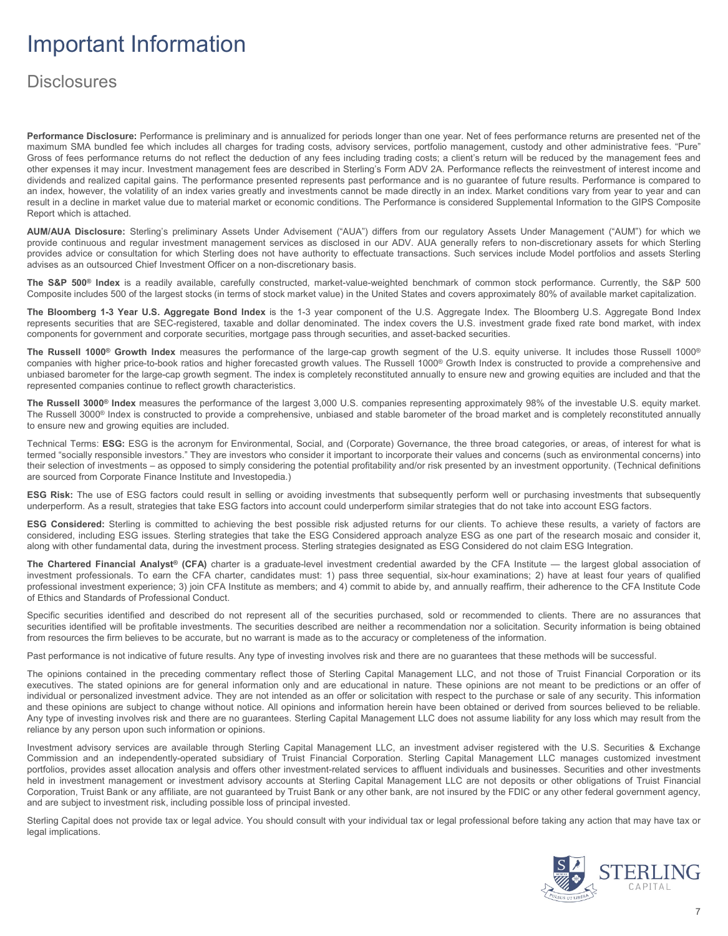## Important Information

#### **Disclosures**

**Performance Disclosure:** Performance is preliminary and is annualized for periods longer than one year. Net of fees performance returns are presented net of the maximum SMA bundled fee which includes all charges for trading costs, advisory services, portfolio management, custody and other administrative fees. "Pure" Gross of fees performance returns do not reflect the deduction of any fees including trading costs; a client's return will be reduced by the management fees and other expenses it may incur. Investment management fees are described in Sterling's Form ADV 2A. Performance reflects the reinvestment of interest income and dividends and realized capital gains. The performance presented represents past performance and is no guarantee of future results. Performance is compared to an index, however, the volatility of an index varies greatly and investments cannot be made directly in an index. Market conditions vary from year to year and can result in a decline in market value due to material market or economic conditions. The Performance is considered Supplemental Information to the GIPS Composite Report which is attached.

**AUM/AUA Disclosure:** Sterling's preliminary Assets Under Advisement ("AUA") differs from our regulatory Assets Under Management ("AUM") for which we provide continuous and regular investment management services as disclosed in our ADV. AUA generally refers to non-discretionary assets for which Sterling provides advice or consultation for which Sterling does not have authority to effectuate transactions. Such services include Model portfolios and assets Sterling advises as an outsourced Chief Investment Officer on a non-discretionary basis.

**The S&P 500® Index** is a readily available, carefully constructed, market-value-weighted benchmark of common stock performance. Currently, the S&P 500 Composite includes 500 of the largest stocks (in terms of stock market value) in the United States and covers approximately 80% of available market capitalization.

**The Bloomberg 1-3 Year U.S. Aggregate Bond Index** is the 1-3 year component of the U.S. Aggregate Index. The Bloomberg U.S. Aggregate Bond Index represents securities that are SEC-registered, taxable and dollar denominated. The index covers the U.S. investment grade fixed rate bond market, with index components for government and corporate securities, mortgage pass through securities, and asset-backed securities.

**The Russell 1000® Growth Index** measures the performance of the large-cap growth segment of the U.S. equity universe. It includes those Russell 1000® companies with higher price-to-book ratios and higher forecasted growth values. The Russell 1000® Growth Index is constructed to provide a comprehensive and unbiased barometer for the large-cap growth segment. The index is completely reconstituted annually to ensure new and growing equities are included and that the represented companies continue to reflect growth characteristics.

**The Russell 3000® Index** measures the performance of the largest 3,000 U.S. companies representing approximately 98% of the investable U.S. equity market. The Russell 3000<sup>®</sup> Index is constructed to provide a comprehensive, unbiased and stable barometer of the broad market and is completely reconstituted annually to ensure new and growing equities are included.

Technical Terms: **ESG:** ESG is the acronym for Environmental, Social, and (Corporate) Governance, the three broad categories, or areas, of interest for what is termed "socially responsible investors." They are investors who consider it important to incorporate their values and concerns (such as environmental concerns) into their selection of investments – as opposed to simply considering the potential profitability and/or risk presented by an investment opportunity. (Technical definitions are sourced from Corporate Finance Institute and Investopedia.)

**ESG Risk:** The use of ESG factors could result in selling or avoiding investments that subsequently perform well or purchasing investments that subsequently underperform. As a result, strategies that take ESG factors into account could underperform similar strategies that do not take into account ESG factors.

**ESG Considered:** Sterling is committed to achieving the best possible risk adjusted returns for our clients. To achieve these results, a variety of factors are considered, including ESG issues. Sterling strategies that take the ESG Considered approach analyze ESG as one part of the research mosaic and consider it, along with other fundamental data, during the investment process. Sterling strategies designated as ESG Considered do not claim ESG Integration.

**The Chartered Financial Analyst® (CFA)** charter is a graduate-level investment credential awarded by the CFA Institute — the largest global association of investment professionals. To earn the CFA charter, candidates must: 1) pass three sequential, six-hour examinations; 2) have at least four years of qualified professional investment experience; 3) join CFA Institute as members; and 4) commit to abide by, and annually reaffirm, their adherence to the CFA Institute Code of Ethics and Standards of Professional Conduct.

Specific securities identified and described do not represent all of the securities purchased, sold or recommended to clients. There are no assurances that securities identified will be profitable investments. The securities described are neither a recommendation nor a solicitation. Security information is being obtained from resources the firm believes to be accurate, but no warrant is made as to the accuracy or completeness of the information.

Past performance is not indicative of future results. Any type of investing involves risk and there are no guarantees that these methods will be successful.

The opinions contained in the preceding commentary reflect those of Sterling Capital Management LLC, and not those of Truist Financial Corporation or its executives. The stated opinions are for general information only and are educational in nature. These opinions are not meant to be predictions or an offer of individual or personalized investment advice. They are not intended as an offer or solicitation with respect to the purchase or sale of any security. This information and these opinions are subject to change without notice. All opinions and information herein have been obtained or derived from sources believed to be reliable. Any type of investing involves risk and there are no guarantees. Sterling Capital Management LLC does not assume liability for any loss which may result from the reliance by any person upon such information or opinions.

Investment advisory services are available through Sterling Capital Management LLC, an investment adviser registered with the U.S. Securities & Exchange Commission and an independently-operated subsidiary of Truist Financial Corporation. Sterling Capital Management LLC manages customized investment portfolios, provides asset allocation analysis and offers other investment-related services to affluent individuals and businesses. Securities and other investments held in investment management or investment advisory accounts at Sterling Capital Management LLC are not deposits or other obligations of Truist Financial Corporation, Truist Bank or any affiliate, are not guaranteed by Truist Bank or any other bank, are not insured by the FDIC or any other federal government agency, and are subject to investment risk, including possible loss of principal invested.

Sterling Capital does not provide tax or legal advice. You should consult with your individual tax or legal professional before taking any action that may have tax or legal implications.